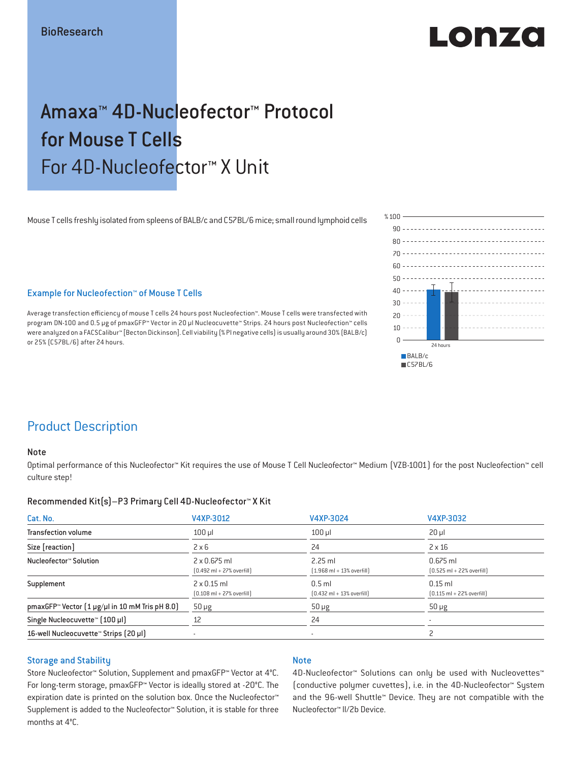# LOD PZO

# Amaxa™ 4D-Nucleofector™ Protocol for Mouse T Cells For 4D-Nucleofector™ X Unit

Mouse T cells freshly isolated from spleens of BALB/c and C57BL/6 mice; small round lymphoid cells



# Example for Nucleofection™ of Mouse T Cells

Average transfection efficiency of mouse T cells 24 hours post Nucleofection™. Mouse T cells were transfected with program DN-100 and 0.5 μg of pmaxGFP™ Vector in 20 μl Nucleocuvette™ Strips. 24 hours post Nucleofection™ cells were analyzed on a FACSCalibur™ [Becton Dickinson]. Cell viability (% PI negative cells) is usually around 30% (BALB/c) or 25% (C57BL/6) after 24 hours.

# Product Description

## Note

Optimal performance of this Nucleofector™ Kit requires the use of Mouse T Cell Nucleofector™ Medium (VZB-1001) for the post Nucleofection™ cell culture step!

## Recommended Kit(s)–P3 Primary Cell 4D-Nucleofector™ X Kit

| Cat. No.                                                           | V4XP-3012                                                           | V4XP-3024                                                 | V4XP-3032                                                  |
|--------------------------------------------------------------------|---------------------------------------------------------------------|-----------------------------------------------------------|------------------------------------------------------------|
| <b>Transfection volume</b>                                         | $100$ $\mu$                                                         | $100$ $\mu$                                               | $20 \mu$                                                   |
| Size [reaction]                                                    | $2 \times 6$                                                        | 24                                                        | $2 \times 16$                                              |
| Nucleofector™ Solution                                             | $2 \times 0.675$ ml<br>$[0.492 \text{ ml} + 27\% \text{ overfill}]$ | $2.25$ ml<br>$[1.968 \text{ ml} + 13\% \text{ overfill}]$ | $0.675$ ml<br>$[0.525 \text{ ml} + 22\% \text{ overfill}]$ |
| Supplement                                                         | $2 \times 0.15$ ml<br>$[0.108 \text{ ml} + 27\% \text{ overfill}]$  | $0.5$ ml<br>$[0.432 \text{ ml} + 13\% \text{ overfill}]$  | $0.15$ ml<br>$[0.115 \text{ ml} + 22\% \text{ overfill}]$  |
| pmaxGFP <sup>*</sup> Vector $(1 \mu g/\mu l$ in 10 mM Tris pH 8.0) | $50 \mu g$                                                          | $50 \mu g$                                                | $50 \mu g$                                                 |
| Single Nucleocuvette™ (100 µl)                                     | 12                                                                  | 24                                                        |                                                            |
| 16-well Nucleocuvette <sup>™</sup> Strips [20 µl]                  | $\overline{\phantom{a}}$                                            | $\overline{\phantom{a}}$                                  |                                                            |

## Storage and Stability

# **Note**

Store Nucleofector™ Solution, Supplement and pmaxGFP™ Vector at 4°C. For long-term storage, pmaxGFP™ Vector is ideally stored at -20°C. The expiration date is printed on the solution box. Once the Nucleofector™ Supplement is added to the Nucleofector™ Solution, it is stable for three months at 4°C.

4D-Nucleofector<sup>™</sup> Solutions can only be used with Nucleovettes™ (conductive polymer cuvettes), i.e. in the 4D-Nucleofector™ System and the 96-well Shuttle™ Device. They are not compatible with the Nucleofector™ II/2b Device.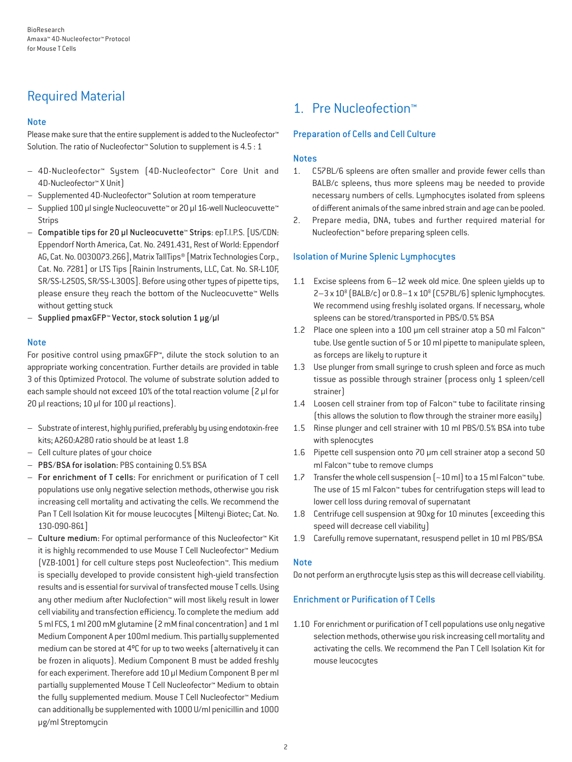# Required Material

# **Note**

Please make sure that the entire supplement is added to the Nucleofector<sup>™</sup> Solution. The ratio of Nucleofector™ Solution to supplement is 4.5 : 1

- 4D-Nucleofector™ System (4D-Nucleofector™ Core Unit and 4D-Nucleofector™ X Unit)
- Supplemented 4D-Nucleofector™ Solution at room temperature
- Supplied 100 µl single Nucleocuvette™ or 20 µl 16-well Nucleocuvette™ Strips
- Compatible tips for 20 µl Nucleocuvette™ Strips: epT.I.P.S. [US/CDN: Eppendorf North America, Cat. No. 2491.431, Rest of World: Eppendorf AG, Cat. No. 0030073.266], Matrix TallTips® [Matrix Technologies Corp., Cat. No. 7281] or LTS Tips [Rainin Instruments, LLC, Cat. No. SR-L10F, SR/SS-L250S, SR/SS-L300S]. Before using other types of pipette tips, please ensure they reach the bottom of the Nucleocuvette™ Wells without getting stuck
- Supplied pmaxGFP™ Vector, stock solution 1 µg/µl

# **Note**

For positive control using pmaxGFP™, dilute the stock solution to an appropriate working concentration. Further details are provided in table 3 of this Optimized Protocol. The volume of substrate solution added to each sample should not exceed 10% of the total reaction volume [2 µl for 20 µl reactions; 10 µl for 100 µl reactions).

- Substrate of interest, highly purified, preferably by using endotoxin-free kits; A260:A280 ratio should be at least 1.8
- Cell culture plates of your choice
- PBS/BSA for isolation: PBS containing 0.5% BSA
- For enrichment of T cells: For enrichment or purification of T cell populations use only negative selection methods, otherwise you risk increasing cell mortality and activating the cells. We recommend the Pan T Cell Isolation Kit for mouse leucocytes [Miltenyi Biotec; Cat. No. 130-090-861]
- Culture medium: For optimal performance of this Nucleofector™ Kit it is highly recommended to use Mouse T Cell Nucleofector™ Medium (VZB-1001) for cell culture steps post Nucleofection™. This medium is specially developed to provide consistent high-yield transfection results and is essential for survival of transfected mouse T cells. Using any other medium after Nuclofection™ will most likely result in lower cell viability and transfection efficiency. To complete the medium add 5 ml FCS, 1 ml 200 mM glutamine (2 mM final concentration) and 1 ml Medium Component A per 100ml medium. This partially supplemented medium can be stored at 4ºC for up to two weeks (alternatively it can be frozen in aliquots). Medium Component B must be added freshly for each experiment. Therefore add 10 μl Medium Component B per ml partially supplemented Mouse T Cell Nucleofector™ Medium to obtain the fully supplemented medium. Mouse T Cell Nucleofector™ Medium can additionally be supplemented with 1000 U/ml penicillin and 1000 μg/ml Streptomycin

# 1. Pre Nucleofection™

# Preparation of Cells and Cell Culture

# **Notes**

- 1. C57BL/6 spleens are often smaller and provide fewer cells than BALB/c spleens, thus more spleens may be needed to provide necessary numbers of cells. Lymphocytes isolated from spleens of different animals of the same inbred strain and age can be pooled.
- 2. Prepare media, DNA, tubes and further required material for Nucleofection™ before preparing spleen cells.

# Isolation of Murine Splenic Lymphocytes

- 1.1 Excise spleens from 6–12 week old mice. One spleen yields up to  $2-3 \times 10^8$  (BALB/c) or  $0.8-1 \times 10^8$  (C57BL/6) splenic lymphocytes. We recommend using freshly isolated organs. If necessary, whole spleens can be stored/transported in PBS/0.5% BSA
- 1.2 Place one spleen into a 100 μm cell strainer atop a 50 ml Falcon™ tube. Use gentle suction of 5 or 10 ml pipette to manipulate spleen, as forceps are likely to rupture it
- 1.3 Use plunger from small syringe to crush spleen and force as much tissue as possible through strainer (process only 1 spleen/cell strainer)
- 1.4 Loosen cell strainer from top of Falcon™ tube to facilitate rinsing (this allows the solution to flow through the strainer more easily)
- 1.5 Rinse plunger and cell strainer with 10 ml PBS/0.5% BSA into tube with splenocytes
- 1.6 Pipette cell suspension onto 70 μm cell strainer atop a second 50 ml Falcon™ tube to remove clumps
- 1.7 Transfer the whole cell suspension (~10 ml) to a 15 ml Falcon™ tube. The use of 15 ml Falcon™ tubes for centrifugation steps will lead to lower cell loss during removal of supernatant
- 1.8 Centrifuge cell suspension at 90xg for 10 minutes (exceeding this speed will decrease cell viability)
- 1.9 Carefully remove supernatant, resuspend pellet in 10 ml PBS/BSA

# **Note**

Do not perform an erythrocyte lysis step as this will decrease cell viability.

# Enrichment or Purification of T Cells

1.10 For enrichment or purification of T cell populations use only negative selection methods, otherwise you risk increasing cell mortality and activating the cells. We recommend the Pan T Cell Isolation Kit for mouse leucocytes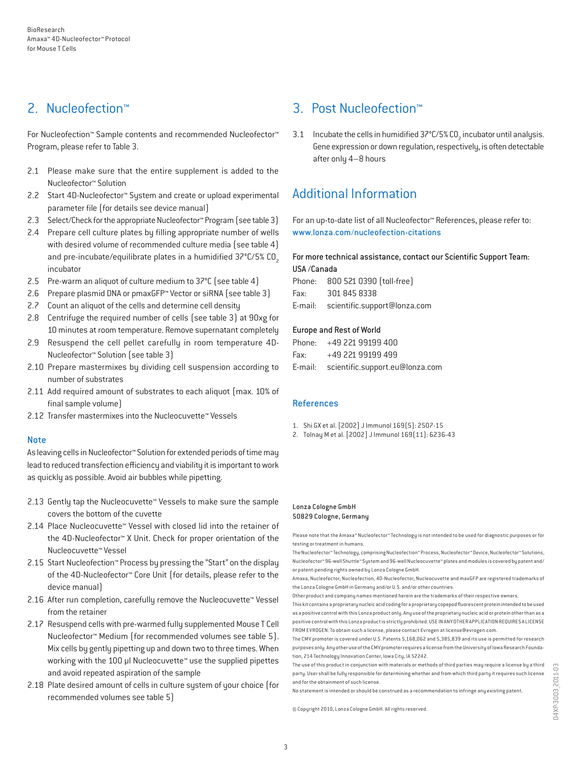# 2. Nucleofection™

For Nucleofection™ Sample contents and recommended Nucleofector™ Program, please refer to Table 3.

- 2.1 Please make sure that the entire supplement is added to the Nucleofector™ Solution
- 2.2 Start 4D-Nucleofector™ System and create or upload experimental parameter file (for details see device manual)
- 2.3 Select/Check for the appropriate Nucleofector™ Program (see table 3)
- 2.4 Prepare cell culture plates by filling appropriate number of wells with desired volume of recommended culture media (see table 4) and pre-incubate/equilibrate plates in a humidified  $37^{\circ}$ C/5% CO<sub>2</sub> incubator
- 2.5 Pre-warm an aliquot of culture medium to 37°C (see table 4)
- 2.6 Prepare plasmid DNA or pmaxGFP™ Vector or siRNA (see table 3)
- 2.7 Count an aliquot of the cells and determine cell density
- 2.8 Centrifuge the required number of cells (see table 3) at 90xg for 10 minutes at room temperature. Remove supernatant completely
- 2.9 Resuspend the cell pellet carefully in room temperature 4D-Nucleofector™ Solution (see table 3)
- 2.10 Prepare mastermixes by dividing cell suspension according to number of substrates
- 2.11 Add required amount of substrates to each aliquot (max. 10% of final sample volume)
- 2.12 Transfer mastermixes into the Nucleocuvette™ Vessels

## Note

As leaving cells in Nucleofector™ Solution for extended periods of time may lead to reduced transfection efficiency and viability it is important to work as quickly as possible. Avoid air bubbles while pipetting.

- 2.13 Gently tap the Nucleocuvette™ Vessels to make sure the sample covers the bottom of the cuvette
- 2.14 Place Nucleocuvette™ Vessel with closed lid into the retainer of the 4D-Nucleofector™ X Unit. Check for proper orientation of the Nucleocuvette™ Vessel
- 2.15 Start Nucleofection™ Process by pressing the "Start" on the display of the 4D-Nucleofector™ Core Unit (for details, please refer to the device manual)
- 2.16 After run completion, carefully remove the Nucleocuvette™ Vessel from the retainer
- 2.17 Resuspend cells with pre-warmed fully supplemented Mouse T Cell Nucleofector™ Medium (for recommended volumes see table 5). Mix cells by gently pipetting up and down two to three times. When working with the 100 µl Nucleocuvette™ use the supplied pipettes and avoid repeated aspiration of the sample
- 2.18 Plate desired amount of cells in culture system of your choice (for recommended volumes see table 5)

# 3. Post Nucleofection™

3.1 Incubate the cells in humidified  $37^{\circ}$ C/5% CO<sub>2</sub> incubator until analysis. Gene expression or down regulation, respectively, is often detectable after only 4–8 hours

# Additional Information

For an up-to-date list of all Nucleofector™ References, please refer to: www.lonza.com/nucleofection-citations

# For more technical assistance, contact our Scientific Support Team: USA /Canada

Phone: 800 521 0390 (toll-free) Fax: 301 845 8338 E-mail: scientific.support@lonza.com

#### Europe and Rest of World

|          | Phone: +49 221 99199 400                |
|----------|-----------------------------------------|
| Fax: Fax | +49 221 99199 499                       |
|          | E-mail: scientific.support.eu@lonza.com |

## References

- 1. Shi GX et al. [2002] J Immunol 169(5): 2507-15
- 2. Tolnay M et al. [2002] J Immunol 169(11): 6236-43

#### Lonza Cologne GmbH 50829 Cologne, Germany

Please note that the Amaxa™ Nucleofector™ Technology is not intended to be used for diagnostic purposes or for testing or treatment in humans.

The Nucleofector™ Technology, comprising Nucleofection™ Process, Nucleofector™ Device, Nucleofector™ Solutions, Nucleofector™ 96-well Shuttle™ System and 96-well Nucleocuvette™ plates and modules is covered by patent and/ or patent-pending rights owned by Lonza Cologne GmbH.

Amaxa, Nucleofector, Nucleofection, 4D-Nucleofector, Nucleocuvette and maxGFP are registered trademarks of the Lonza Cologne GmbH in Germany and/or U.S. and/or other countries.

Other product and company names mentioned herein are the trademarks of their respective owners.

This kit contains a proprietary nucleic acid coding for a proprietary copepod fluorescent protein intended to be used as a positive control with this Lonza product only. Any use of the proprietary nucleic acid or protein other than as a positive control with this Lonza product is strictly prohibited. USE IN ANY OTHER APPLICATION REQUIRES A LICENSE FROM EVROGEN. To obtain such a license, please contact Evrogen at license@evrogen.com.

The CMV promoter is covered under U.S. Patents 5,168,062 and 5,385,839 and its use is permitted for research purposes only. Any other use of the CMV promoter requires a license from the University of Iowa Research Foundation, 214 Technology Innovation Center, Iowa City, IA 52242.

The use of this product in conjunction with materials or methods of third parties may require a license by a third party. User shall be fully responsible for determining whether and from which third party it requires such license and for the obtainment of such license.

No statement is intended or should be construed as a recommendation to infringe any existing patent.

© Copyright 2010, Lonza Cologne GmbH. All rights reserved.